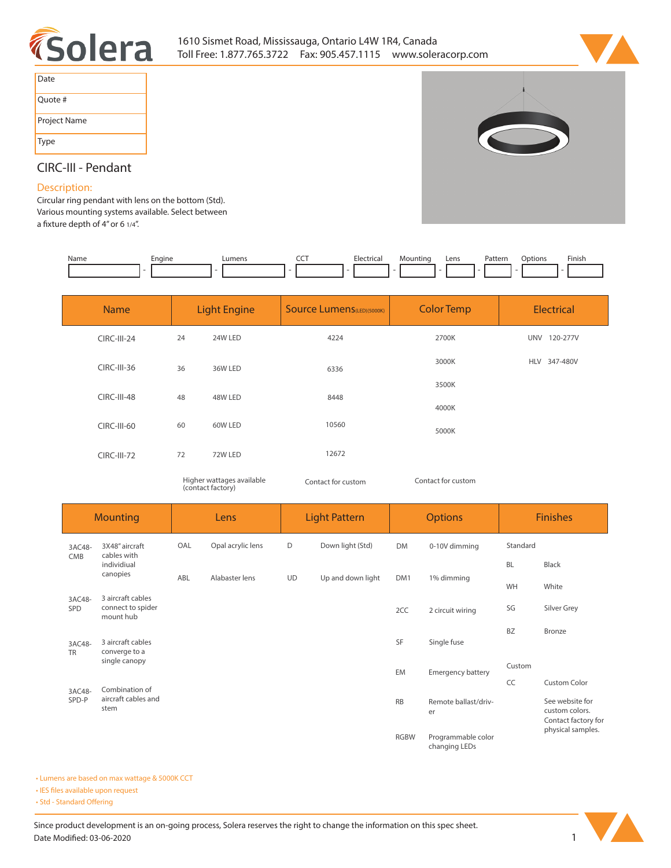



| Date         |
|--------------|
| Quote #      |
| Project Name |
| <b>Type</b>  |



## **CIRC-III - Pendant**

## **Description:**

**Circular ring pendant with lens on the bottom (Std). Various mounting systems available. Select between**  a fixture depth of 4" or 6 1/4".

| Name | Engine | umens | --- | Electrical | Mountinc | Lens | Pattern | Dotion. | Finish |
|------|--------|-------|-----|------------|----------|------|---------|---------|--------|
|      |        |       |     |            |          |      |         |         |        |

| <b>Name</b>        | <b>Light Engine</b> |         | <b>Source Lumens</b> (LED)(5000K) | <b>Color Temp</b> | Electrical   |
|--------------------|---------------------|---------|-----------------------------------|-------------------|--------------|
| <b>CIRC-III-24</b> | 24                  | 24W LED | 4224                              | 2700K             | UNV 120-277V |
| $CIRC-III-36$      | 36                  | 36W LED | 6336                              | 3000K             | HLV 347-480V |
| <b>CIRC-III-48</b> | 48                  | 48W LED | 8448                              | 3500K             |              |
| CIRC-III-60        | 60                  | 60W LED | 10560                             | 4000K             |              |
|                    |                     |         | 12672                             | 5000K             |              |
| <b>CIRC-III-72</b> | 72                  | 72W LED |                                   |                   |              |

*Higher wattages available Contact for custom (contact factory)*

*Contact for custom*

| <b>Mounting</b>     |                                                                 | Lens |                   | <b>Light Pattern</b> |                   | <b>Options</b> |                                     | <b>Finishes</b> |                                                          |
|---------------------|-----------------------------------------------------------------|------|-------------------|----------------------|-------------------|----------------|-------------------------------------|-----------------|----------------------------------------------------------|
| 3AC48-              | 3X48" aircraft<br>cables with<br>CMB<br>individiual<br>canopies | OAL  | Opal acrylic lens | D                    | Down light (Std)  | <b>DM</b>      | 0-10V dimming                       | Standard        |                                                          |
|                     |                                                                 |      |                   |                      |                   |                | 1% dimming                          | <b>BL</b>       | Black                                                    |
|                     |                                                                 | ABL  | Alabaster lens    | <b>UD</b>            | Up and down light | DM1            |                                     | WH              | White                                                    |
| 3AC48-<br>SPD       | 3 aircraft cables<br>connect to spider<br>mount hub             |      |                   |                      |                   | 2CC            | 2 circuit wiring                    | SG              | Silver Grey                                              |
| 3AC48-<br><b>TR</b> | 3 aircraft cables<br>converge to a                              |      |                   |                      |                   | SF             | Single fuse                         | <b>BZ</b>       | Bronze                                                   |
|                     | single canopy                                                   |      |                   |                      |                   | EM             | <b>Emergency battery</b>            | Custom          |                                                          |
| 3AC48-              | Combination of                                                  |      |                   |                      |                   |                |                                     | CC              | <b>Custom Color</b>                                      |
| SPD-P               | aircraft cables and<br>stem                                     |      |                   |                      |                   | <b>RB</b>      | Remote ballast/driv-<br>er          |                 | See website for<br>custom colors.<br>Contact factory for |
|                     |                                                                 |      |                   |                      |                   | <b>RGBW</b>    | Programmable color<br>changing LEDs |                 | physical samples.                                        |

**• Lumens are based on max wattage & 5000K CCT**

**• IES files available upon request** 

• Std - Standard Offering